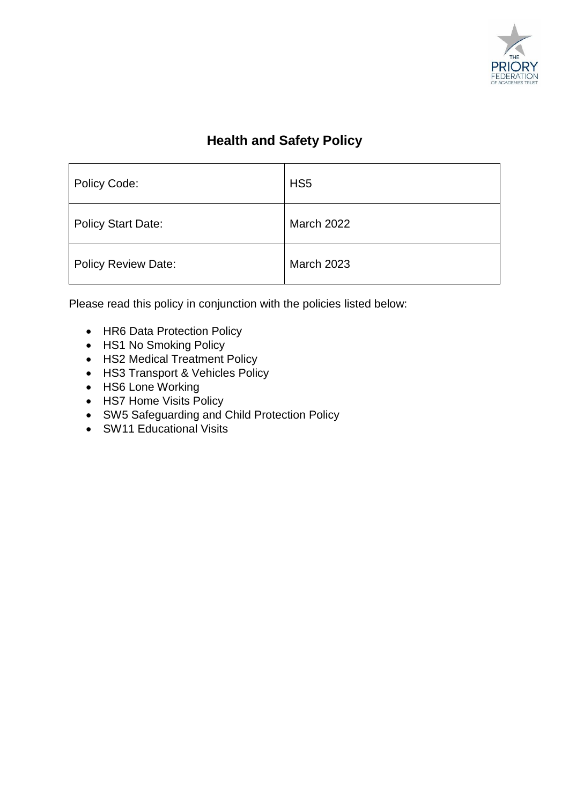

## **Health and Safety Policy**

| Policy Code:               | HS <sub>5</sub>   |
|----------------------------|-------------------|
| <b>Policy Start Date:</b>  | <b>March 2022</b> |
| <b>Policy Review Date:</b> | <b>March 2023</b> |

Please read this policy in conjunction with the policies listed below:

- HR6 Data Protection Policy
- HS1 No Smoking Policy
- HS2 Medical Treatment Policy
- HS3 Transport & Vehicles Policy
- HS6 Lone Working
- HS7 Home Visits Policy
- SW5 Safeguarding and Child Protection Policy
- SW11 Educational Visits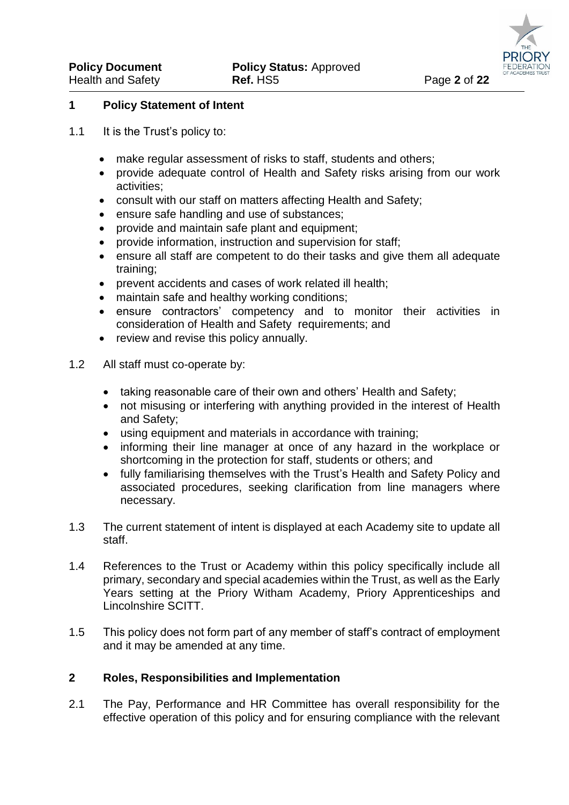#### **1 Policy Statement of Intent**

- 1.1 It is the Trust's policy to:
	- make regular assessment of risks to staff, students and others;
	- provide adequate control of Health and Safety risks arising from our work activities;
	- consult with our staff on matters affecting Health and Safety;
	- ensure safe handling and use of substances;
	- provide and maintain safe plant and equipment;
	- provide information, instruction and supervision for staff;
	- ensure all staff are competent to do their tasks and give them all adequate training;
	- prevent accidents and cases of work related ill health;
	- maintain safe and healthy working conditions;
	- ensure contractors' competency and to monitor their activities in consideration of Health and Safety requirements; and
	- review and revise this policy annually.
- 1.2 All staff must co-operate by:
	- taking reasonable care of their own and others' Health and Safety;
	- not misusing or interfering with anything provided in the interest of Health and Safety;
	- using equipment and materials in accordance with training;
	- informing their line manager at once of any hazard in the workplace or shortcoming in the protection for staff, students or others; and
	- fully familiarising themselves with the Trust's Health and Safety Policy and associated procedures, seeking clarification from line managers where necessary.
- 1.3 The current statement of intent is displayed at each Academy site to update all staff.
- 1.4 References to the Trust or Academy within this policy specifically include all primary, secondary and special academies within the Trust, as well as the Early Years setting at the Priory Witham Academy, Priory Apprenticeships and Lincolnshire SCITT.
- 1.5 This policy does not form part of any member of staff's contract of employment and it may be amended at any time.

#### **2 Roles, Responsibilities and Implementation**

2.1 The Pay, Performance and HR Committee has overall responsibility for the effective operation of this policy and for ensuring compliance with the relevant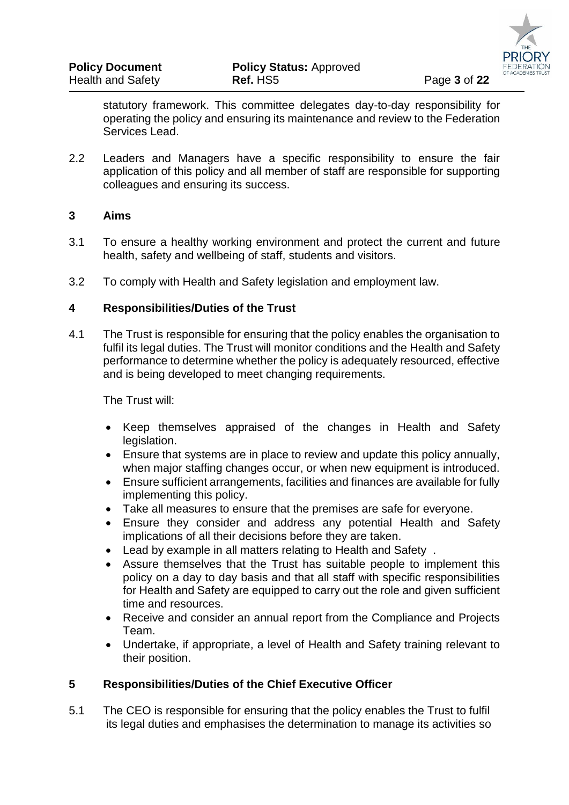statutory framework. This committee delegates day-to-day responsibility for operating the policy and ensuring its maintenance and review to the Federation Services Lead.

2.2 Leaders and Managers have a specific responsibility to ensure the fair application of this policy and all member of staff are responsible for supporting colleagues and ensuring its success.

## **3 Aims**

- 3.1 To ensure a healthy working environment and protect the current and future health, safety and wellbeing of staff, students and visitors.
- 3.2 To comply with Health and Safety legislation and employment law.

## **4 Responsibilities/Duties of the Trust**

4.1 The Trust is responsible for ensuring that the policy enables the organisation to fulfil its legal duties. The Trust will monitor conditions and the Health and Safety performance to determine whether the policy is adequately resourced, effective and is being developed to meet changing requirements.

The Trust will:

- Keep themselves appraised of the changes in Health and Safety legislation.
- Ensure that systems are in place to review and update this policy annually, when major staffing changes occur, or when new equipment is introduced.
- Ensure sufficient arrangements, facilities and finances are available for fully implementing this policy.
- Take all measures to ensure that the premises are safe for everyone.
- Ensure they consider and address any potential Health and Safety implications of all their decisions before they are taken.
- Lead by example in all matters relating to Health and Safety .
- Assure themselves that the Trust has suitable people to implement this policy on a day to day basis and that all staff with specific responsibilities for Health and Safety are equipped to carry out the role and given sufficient time and resources.
- Receive and consider an annual report from the Compliance and Projects Team.
- Undertake, if appropriate, a level of Health and Safety training relevant to their position.

## **5 Responsibilities/Duties of the Chief Executive Officer**

5.1 The CEO is responsible for ensuring that the policy enables the Trust to fulfil its legal duties and emphasises the determination to manage its activities so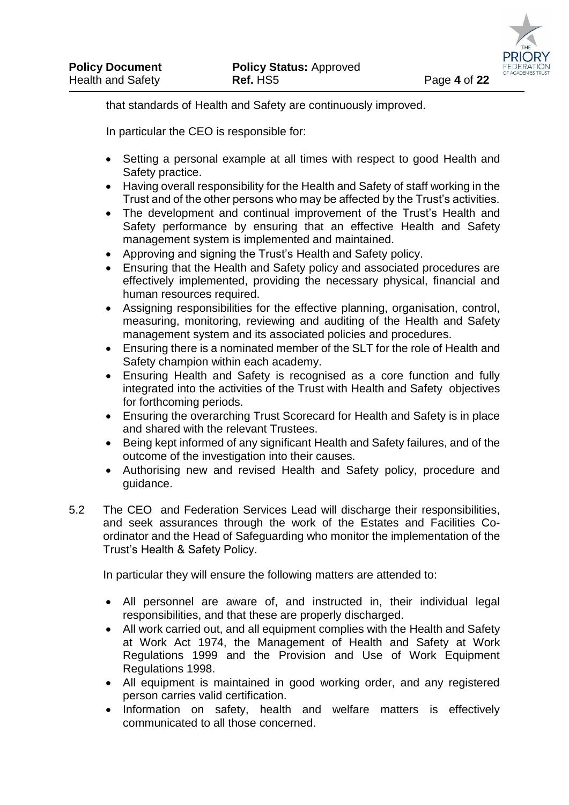that standards of Health and Safety are continuously improved.

In particular the CEO is responsible for:

- Setting a personal example at all times with respect to good Health and Safety practice.
- Having overall responsibility for the Health and Safety of staff working in the Trust and of the other persons who may be affected by the Trust's activities.
- The development and continual improvement of the Trust's Health and Safety performance by ensuring that an effective Health and Safety management system is implemented and maintained.
- Approving and signing the Trust's Health and Safety policy.
- Ensuring that the Health and Safety policy and associated procedures are effectively implemented, providing the necessary physical, financial and human resources required.
- Assigning responsibilities for the effective planning, organisation, control, measuring, monitoring, reviewing and auditing of the Health and Safety management system and its associated policies and procedures.
- Ensuring there is a nominated member of the SLT for the role of Health and Safety champion within each academy.
- Ensuring Health and Safety is recognised as a core function and fully integrated into the activities of the Trust with Health and Safety objectives for forthcoming periods.
- Ensuring the overarching Trust Scorecard for Health and Safety is in place and shared with the relevant Trustees.
- Being kept informed of any significant Health and Safety failures, and of the outcome of the investigation into their causes.
- Authorising new and revised Health and Safety policy, procedure and guidance.
- 5.2 The CEO and Federation Services Lead will discharge their responsibilities, and seek assurances through the work of the Estates and Facilities Coordinator and the Head of Safeguarding who monitor the implementation of the Trust's Health & Safety Policy.

In particular they will ensure the following matters are attended to:

- All personnel are aware of, and instructed in, their individual legal responsibilities, and that these are properly discharged.
- All work carried out, and all equipment complies with the Health and Safety at Work Act 1974, the Management of Health and Safety at Work Regulations 1999 and the Provision and Use of Work Equipment Regulations 1998.
- All equipment is maintained in good working order, and any registered person carries valid certification.
- Information on safety, health and welfare matters is effectively communicated to all those concerned.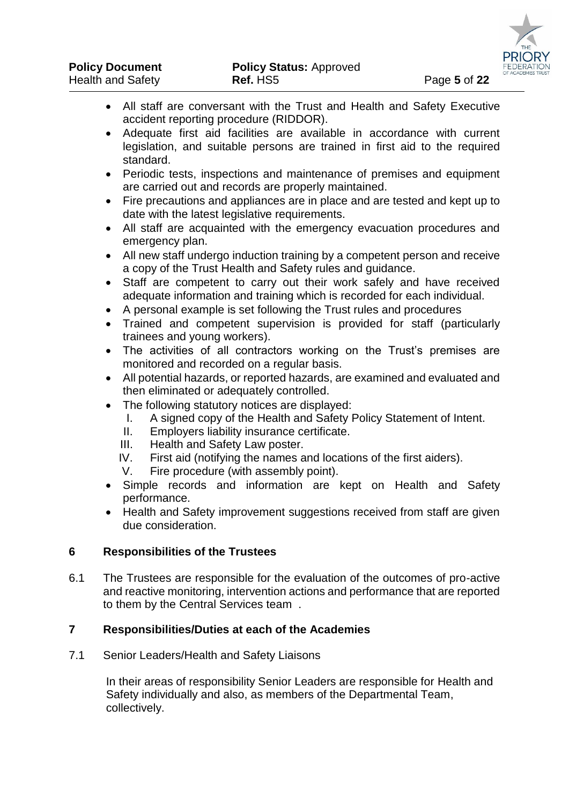- All staff are conversant with the Trust and Health and Safety Executive accident reporting procedure (RIDDOR).
- Adequate first aid facilities are available in accordance with current legislation, and suitable persons are trained in first aid to the required standard.
- Periodic tests, inspections and maintenance of premises and equipment are carried out and records are properly maintained.
- Fire precautions and appliances are in place and are tested and kept up to date with the latest legislative requirements.
- All staff are acquainted with the emergency evacuation procedures and emergency plan.
- All new staff undergo induction training by a competent person and receive a copy of the Trust Health and Safety rules and guidance.
- Staff are competent to carry out their work safely and have received adequate information and training which is recorded for each individual.
- A personal example is set following the Trust rules and procedures
- Trained and competent supervision is provided for staff (particularly trainees and young workers).
- The activities of all contractors working on the Trust's premises are monitored and recorded on a regular basis.
- All potential hazards, or reported hazards, are examined and evaluated and then eliminated or adequately controlled.
- The following statutory notices are displayed:
	- I. A signed copy of the Health and Safety Policy Statement of Intent.
	- II. Employers liability insurance certificate.
	- III. Health and Safety Law poster.
	- IV. First aid (notifying the names and locations of the first aiders).
	- V. Fire procedure (with assembly point).
- Simple records and information are kept on Health and Safety performance.
- Health and Safety improvement suggestions received from staff are given due consideration.

#### **6 Responsibilities of the Trustees**

6.1 The Trustees are responsible for the evaluation of the outcomes of pro-active and reactive monitoring, intervention actions and performance that are reported to them by the Central Services team .

#### **7 Responsibilities/Duties at each of the Academies**

7.1 Senior Leaders/Health and Safety Liaisons

In their areas of responsibility Senior Leaders are responsible for Health and Safety individually and also, as members of the Departmental Team, collectively.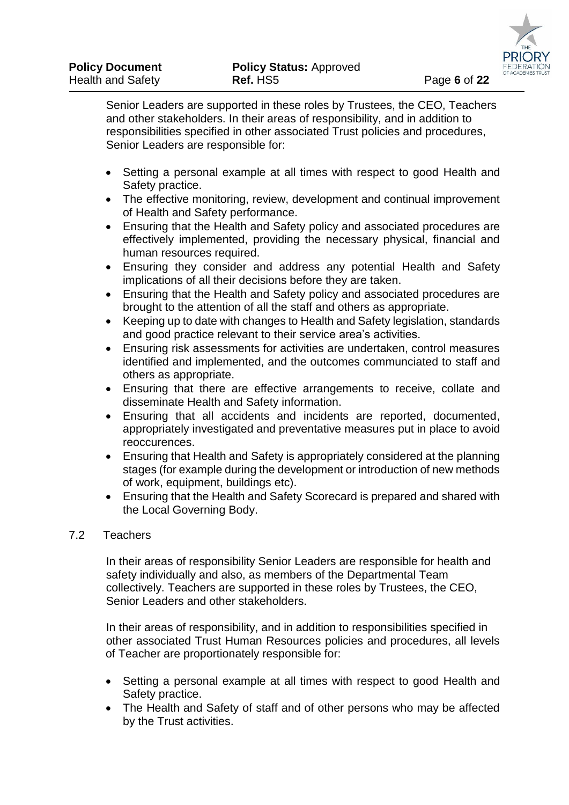Senior Leaders are supported in these roles by Trustees, the CEO, Teachers and other stakeholders. In their areas of responsibility, and in addition to responsibilities specified in other associated Trust policies and procedures, Senior Leaders are responsible for:

- Setting a personal example at all times with respect to good Health and Safety practice.
- The effective monitoring, review, development and continual improvement of Health and Safety performance.
- Ensuring that the Health and Safety policy and associated procedures are effectively implemented, providing the necessary physical, financial and human resources required.
- Ensuring they consider and address any potential Health and Safety implications of all their decisions before they are taken.
- Ensuring that the Health and Safety policy and associated procedures are brought to the attention of all the staff and others as appropriate.
- Keeping up to date with changes to Health and Safety legislation, standards and good practice relevant to their service area's activities.
- Ensuring risk assessments for activities are undertaken, control measures identified and implemented, and the outcomes communciated to staff and others as appropriate.
- Ensuring that there are effective arrangements to receive, collate and disseminate Health and Safety information.
- Ensuring that all accidents and incidents are reported, documented, appropriately investigated and preventative measures put in place to avoid reoccurences.
- Ensuring that Health and Safety is appropriately considered at the planning stages (for example during the development or introduction of new methods of work, equipment, buildings etc).
- Ensuring that the Health and Safety Scorecard is prepared and shared with the Local Governing Body.

## 7.2 Teachers

In their areas of responsibility Senior Leaders are responsible for health and safety individually and also, as members of the Departmental Team collectively. Teachers are supported in these roles by Trustees, the CEO, Senior Leaders and other stakeholders.

In their areas of responsibility, and in addition to responsibilities specified in other associated Trust Human Resources policies and procedures, all levels of Teacher are proportionately responsible for:

- Setting a personal example at all times with respect to good Health and Safety practice.
- The Health and Safety of staff and of other persons who may be affected by the Trust activities.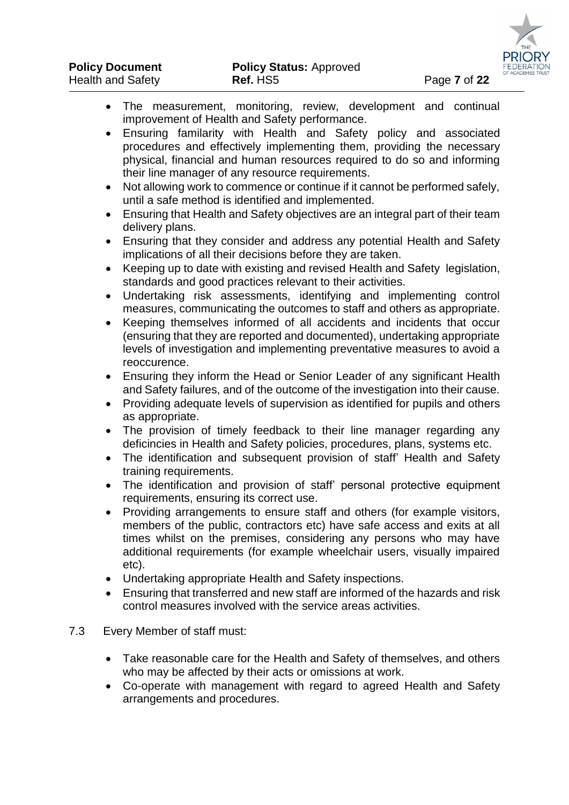

- The measurement, monitoring, review, development and continual improvement of Health and Safety performance.
	- Ensuring familarity with Health and Safety policy and associated procedures and effectively implementing them, providing the necessary physical, financial and human resources required to do so and informing their line manager of any resource requirements.
	- Not allowing work to commence or continue if it cannot be performed safely, until a safe method is identified and implemented.
	- Ensuring that Health and Safety objectives are an integral part of their team delivery plans.
	- Ensuring that they consider and address any potential Health and Safety implications of all their decisions before they are taken.
	- Keeping up to date with existing and revised Health and Safety legislation, standards and good practices relevant to their activities.
	- Undertaking risk assessments, identifying and implementing control measures, communicating the outcomes to staff and others as appropriate.
	- Keeping themselves informed of all accidents and incidents that occur (ensuring that they are reported and documented), undertaking appropriate levels of investigation and implementing preventative measures to avoid a reoccurence.
	- Ensuring they inform the Head or Senior Leader of any significant Health and Safety failures, and of the outcome of the investigation into their cause.
	- Providing adequate levels of supervision as identified for pupils and others as appropriate.
	- The provision of timely feedback to their line manager regarding any deficincies in Health and Safety policies, procedures, plans, systems etc.
	- The identification and subsequent provision of staff' Health and Safety training requirements.
	- The identification and provision of staff' personal protective equipment requirements, ensuring its correct use.
	- Providing arrangements to ensure staff and others (for example visitors, members of the public, contractors etc) have safe access and exits at all times whilst on the premises, considering any persons who may have additional requirements (for example wheelchair users, visually impaired etc).
	- Undertaking appropriate Health and Safety inspections.
	- Ensuring that transferred and new staff are informed of the hazards and risk control measures involved with the service areas activities.
- 7.3 Every Member of staff must:
	- Take reasonable care for the Health and Safety of themselves, and others who may be affected by their acts or omissions at work.
	- Co-operate with management with regard to agreed Health and Safety arrangements and procedures.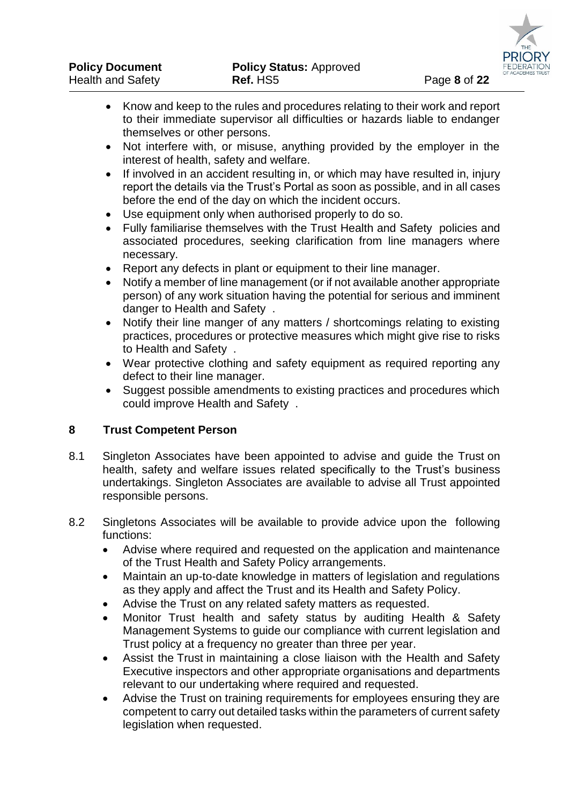- Know and keep to the rules and procedures relating to their work and report to their immediate supervisor all difficulties or hazards liable to endanger themselves or other persons.
- Not interfere with, or misuse, anything provided by the employer in the interest of health, safety and welfare.
- If involved in an accident resulting in, or which may have resulted in, injury report the details via the Trust's Portal as soon as possible, and in all cases before the end of the day on which the incident occurs.
- Use equipment only when authorised properly to do so.
- Fully familiarise themselves with the Trust Health and Safety policies and associated procedures, seeking clarification from line managers where necessary.
- Report any defects in plant or equipment to their line manager.
- Notify a member of line management (or if not available another appropriate person) of any work situation having the potential for serious and imminent danger to Health and Safety .
- Notify their line manger of any matters / shortcomings relating to existing practices, procedures or protective measures which might give rise to risks to Health and Safety .
- Wear protective clothing and safety equipment as required reporting any defect to their line manager.
- Suggest possible amendments to existing practices and procedures which could improve Health and Safety .

## **8 Trust Competent Person**

- 8.1 Singleton Associates have been appointed to advise and guide the Trust on health, safety and welfare issues related specifically to the Trust's business undertakings. Singleton Associates are available to advise all Trust appointed responsible persons.
- 8.2 Singletons Associates will be available to provide advice upon the following functions:
	- Advise where required and requested on the application and maintenance of the Trust Health and Safety Policy arrangements.
	- Maintain an up-to-date knowledge in matters of legislation and regulations as they apply and affect the Trust and its Health and Safety Policy.
	- Advise the Trust on any related safety matters as requested.
	- Monitor Trust health and safety status by auditing Health & Safety Management Systems to guide our compliance with current legislation and Trust policy at a frequency no greater than three per year.
	- Assist the Trust in maintaining a close liaison with the Health and Safety Executive inspectors and other appropriate organisations and departments relevant to our undertaking where required and requested.
	- Advise the Trust on training requirements for employees ensuring they are competent to carry out detailed tasks within the parameters of current safety legislation when requested.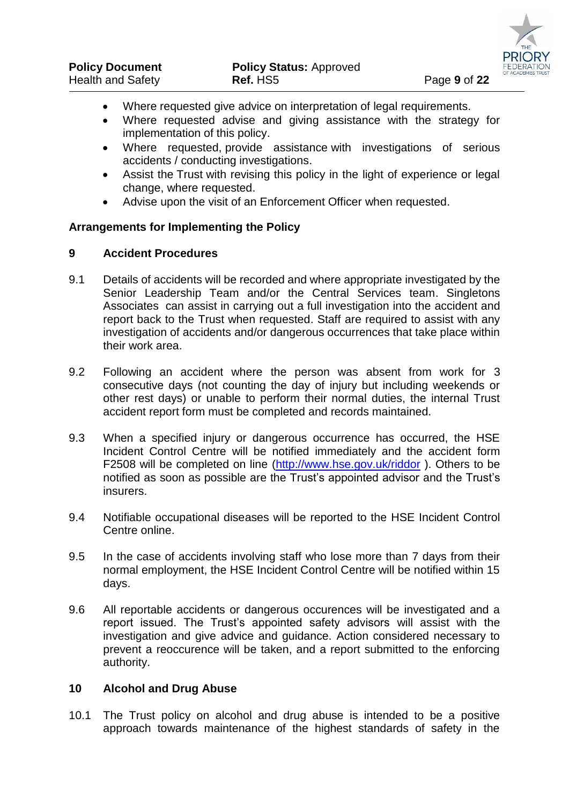

- Where requested give advice on interpretation of legal requirements.
	- Where requested advise and giving assistance with the strategy for implementation of this policy.
	- Where requested, provide assistance with investigations of serious accidents / conducting investigations.
	- Assist the Trust with revising this policy in the light of experience or legal change, where requested.
	- Advise upon the visit of an Enforcement Officer when requested.

## **Arrangements for Implementing the Policy**

## **9 Accident Procedures**

- 9.1 Details of accidents will be recorded and where appropriate investigated by the Senior Leadership Team and/or the Central Services team. Singletons Associates can assist in carrying out a full investigation into the accident and report back to the Trust when requested. Staff are required to assist with any investigation of accidents and/or dangerous occurrences that take place within their work area.
- 9.2 Following an accident where the person was absent from work for 3 consecutive days (not counting the day of injury but including weekends or other rest days) or unable to perform their normal duties, the internal Trust accident report form must be completed and records maintained.
- 9.3 When a specified injury or dangerous occurrence has occurred, the HSE Incident Control Centre will be notified immediately and the accident form F2508 will be completed on line [\(http://www.hse.gov.uk/riddor](http://www.hse.gov.uk/riddor) ). Others to be notified as soon as possible are the Trust's appointed advisor and the Trust's insurers.
- 9.4 Notifiable occupational diseases will be reported to the HSE Incident Control Centre online.
- 9.5 In the case of accidents involving staff who lose more than 7 days from their normal employment, the HSE Incident Control Centre will be notified within 15 days.
- 9.6 All reportable accidents or dangerous occurences will be investigated and a report issued. The Trust's appointed safety advisors will assist with the investigation and give advice and guidance. Action considered necessary to prevent a reoccurence will be taken, and a report submitted to the enforcing authority.

## **10 Alcohol and Drug Abuse**

10.1 The Trust policy on alcohol and drug abuse is intended to be a positive approach towards maintenance of the highest standards of safety in the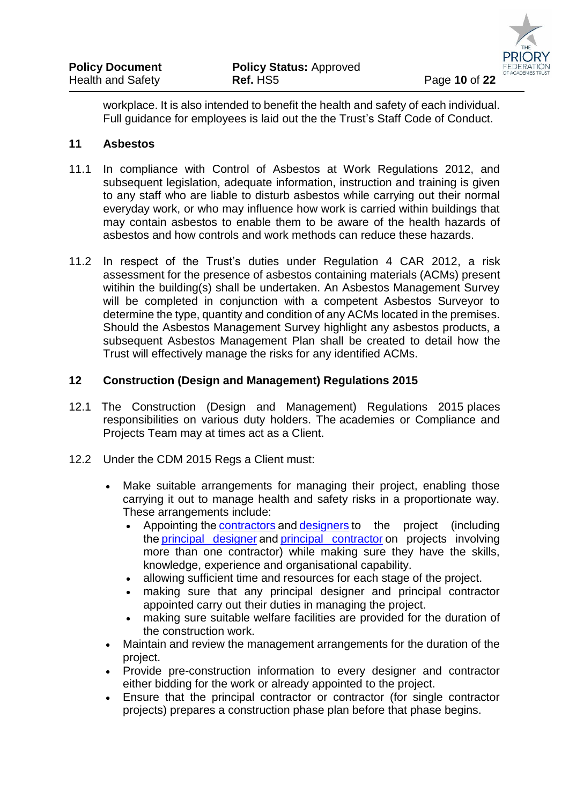

workplace. It is also intended to benefit the health and safety of each individual. Full guidance for employees is laid out the the Trust's Staff Code of Conduct.

## **11 Asbestos**

- 11.1 In compliance with Control of Asbestos at Work Regulations 2012, and subsequent legislation, adequate information, instruction and training is given to any staff who are liable to disturb asbestos while carrying out their normal everyday work, or who may influence how work is carried within buildings that may contain asbestos to enable them to be aware of the health hazards of asbestos and how controls and work methods can reduce these hazards.
- 11.2 In respect of the Trust's duties under Regulation 4 CAR 2012, a risk assessment for the presence of asbestos containing materials (ACMs) present witihin the building(s) shall be undertaken. An Asbestos Management Survey will be completed in conjunction with a competent Asbestos Surveyor to determine the type, quantity and condition of any ACMs located in the premises. Should the Asbestos Management Survey highlight any asbestos products, a subsequent Asbestos Management Plan shall be created to detail how the Trust will effectively manage the risks for any identified ACMs.

## **12 Construction (Design and Management) Regulations 2015**

- 12.1 The Construction (Design and Management) Regulations 2015 places responsibilities on various duty holders. The academies or Compliance and Projects Team may at times act as a Client.
- 12.2 Under the CDM 2015 Regs a Client must:
	- Make suitable arrangements for managing their project, enabling those carrying it out to manage health and safety risks in a proportionate way. These arrangements include:
		- Appointing the[contractors](http://www.hse.gov.uk/construction/cdm/2015/contractors.htm) an[d designers](http://www.hse.gov.uk/construction/cdm/2015/designers.htm) to the project (including the[principal designer](http://www.hse.gov.uk/construction/cdm/2015/principal-designers.htm) an[d principal contractor](http://www.hse.gov.uk/construction/cdm/2015/principal-contractors.htm) on projects involving more than one contractor) while making sure they have the skills, knowledge, experience and organisational capability.
		- allowing sufficient time and resources for each stage of the project.
		- making sure that any principal designer and principal contractor appointed carry out their duties in managing the project.
		- making sure suitable welfare facilities are provided for the duration of the construction work.
	- Maintain and review the management arrangements for the duration of the project.
	- Provide pre-construction information to every designer and contractor either bidding for the work or already appointed to the project.
	- Ensure that the principal contractor or contractor (for single contractor projects) prepares a construction phase plan before that phase begins.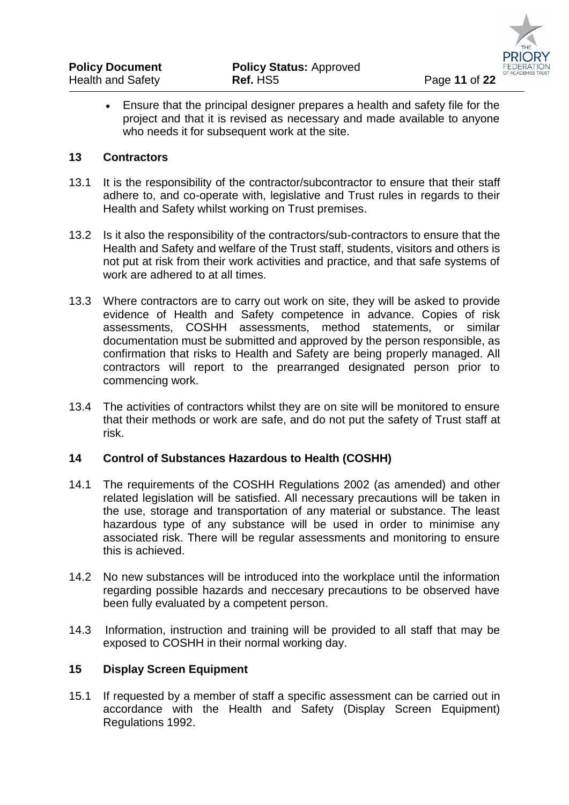Ensure that the principal designer prepares a health and safety file for the project and that it is revised as necessary and made available to anyone who needs it for subsequent work at the site.

## **13 Contractors**

- 13.1 It is the responsibility of the contractor/subcontractor to ensure that their staff adhere to, and co-operate with, legislative and Trust rules in regards to their Health and Safety whilst working on Trust premises.
- 13.2 Is it also the responsibility of the contractors/sub-contractors to ensure that the Health and Safety and welfare of the Trust staff, students, visitors and others is not put at risk from their work activities and practice, and that safe systems of work are adhered to at all times.
- 13.3 Where contractors are to carry out work on site, they will be asked to provide evidence of Health and Safety competence in advance. Copies of risk assessments, COSHH assessments, method statements, or similar documentation must be submitted and approved by the person responsible, as confirmation that risks to Health and Safety are being properly managed. All contractors will report to the prearranged designated person prior to commencing work.
- 13.4 The activities of contractors whilst they are on site will be monitored to ensure that their methods or work are safe, and do not put the safety of Trust staff at risk.

#### **14 Control of Substances Hazardous to Health (COSHH)**

- 14.1 The requirements of the COSHH Regulations 2002 (as amended) and other related legislation will be satisfied. All necessary precautions will be taken in the use, storage and transportation of any material or substance. The least hazardous type of any substance will be used in order to minimise any associated risk. There will be regular assessments and monitoring to ensure this is achieved.
- 14.2 No new substances will be introduced into the workplace until the information regarding possible hazards and neccesary precautions to be observed have been fully evaluated by a competent person.
- 14.3 Information, instruction and training will be provided to all staff that may be exposed to COSHH in their normal working day.

## **15 Display Screen Equipment**

15.1 If requested by a member of staff a specific assessment can be carried out in accordance with the Health and Safety (Display Screen Equipment) Regulations 1992.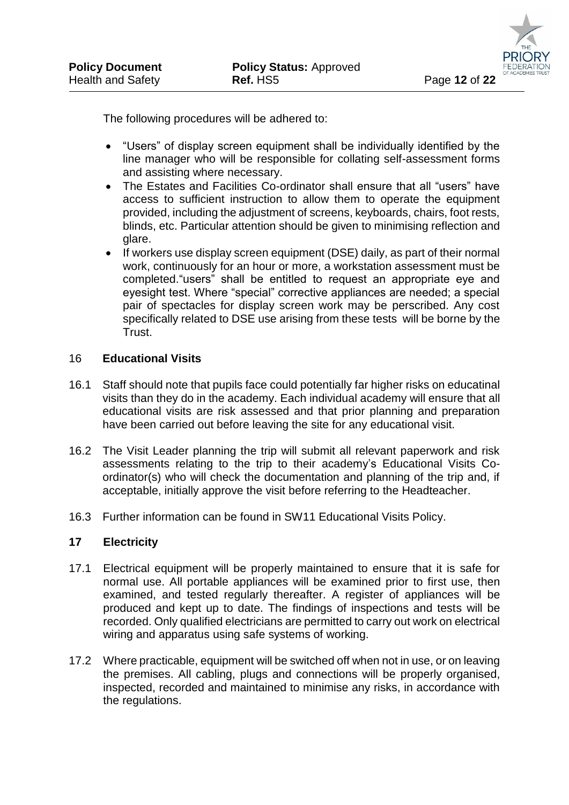The following procedures will be adhered to:

- "Users" of display screen equipment shall be individually identified by the line manager who will be responsible for collating self-assessment forms and assisting where necessary.
- The Estates and Facilities Co-ordinator shall ensure that all "users" have access to sufficient instruction to allow them to operate the equipment provided, including the adjustment of screens, keyboards, chairs, foot rests, blinds, etc. Particular attention should be given to minimising reflection and glare.
- If workers use display screen equipment (DSE) daily, as part of their normal work, continuously for an hour or more, a workstation assessment must be completed."users" shall be entitled to request an appropriate eye and eyesight test. Where "special" corrective appliances are needed; a special pair of spectacles for display screen work may be perscribed. Any cost specifically related to DSE use arising from these tests will be borne by the Trust.

#### 16 **Educational Visits**

- 16.1 Staff should note that pupils face could potentially far higher risks on educatinal visits than they do in the academy. Each individual academy will ensure that all educational visits are risk assessed and that prior planning and preparation have been carried out before leaving the site for any educational visit.
- 16.2 The Visit Leader planning the trip will submit all relevant paperwork and risk assessments relating to the trip to their academy's Educational Visits Coordinator(s) who will check the documentation and planning of the trip and, if acceptable, initially approve the visit before referring to the Headteacher.
- 16.3 Further information can be found in SW11 Educational Visits Policy.

#### **17 Electricity**

- 17.1 Electrical equipment will be properly maintained to ensure that it is safe for normal use. All portable appliances will be examined prior to first use, then examined, and tested regularly thereafter. A register of appliances will be produced and kept up to date. The findings of inspections and tests will be recorded. Only qualified electricians are permitted to carry out work on electrical wiring and apparatus using safe systems of working.
- 17.2 Where practicable, equipment will be switched off when not in use, or on leaving the premises. All cabling, plugs and connections will be properly organised, inspected, recorded and maintained to minimise any risks, in accordance with the regulations.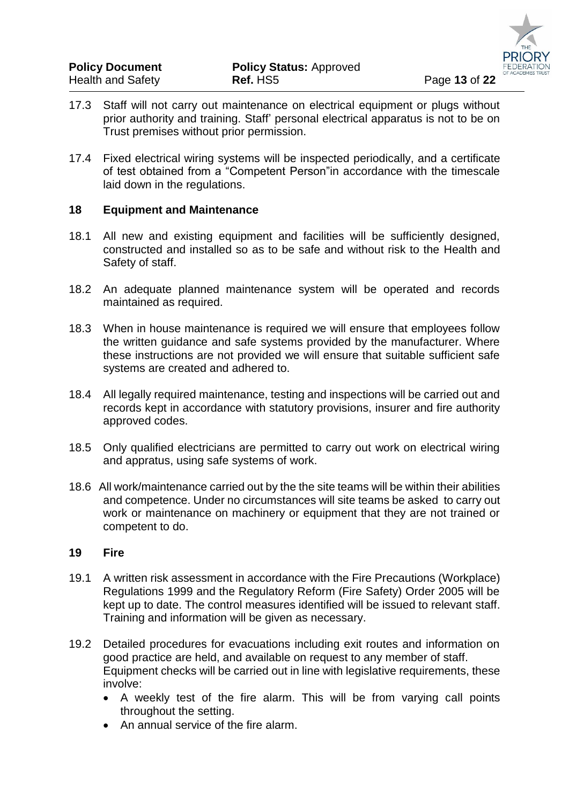- 17.3 Staff will not carry out maintenance on electrical equipment or plugs without prior authority and training. Staff' personal electrical apparatus is not to be on Trust premises without prior permission.
- 17.4 Fixed electrical wiring systems will be inspected periodically, and a certificate of test obtained from a "Competent Person"in accordance with the timescale laid down in the regulations.

#### **18 Equipment and Maintenance**

- 18.1 All new and existing equipment and facilities will be sufficiently designed, constructed and installed so as to be safe and without risk to the Health and Safety of staff.
- 18.2 An adequate planned maintenance system will be operated and records maintained as required.
- 18.3 When in house maintenance is required we will ensure that employees follow the written guidance and safe systems provided by the manufacturer. Where these instructions are not provided we will ensure that suitable sufficient safe systems are created and adhered to.
- 18.4 All legally required maintenance, testing and inspections will be carried out and records kept in accordance with statutory provisions, insurer and fire authority approved codes.
- 18.5 Only qualified electricians are permitted to carry out work on electrical wiring and appratus, using safe systems of work.
- 18.6 All work/maintenance carried out by the the site teams will be within their abilities and competence. Under no circumstances will site teams be asked to carry out work or maintenance on machinery or equipment that they are not trained or competent to do.

#### **19 Fire**

- 19.1 A written risk assessment in accordance with the Fire Precautions (Workplace) Regulations 1999 and the Regulatory Reform (Fire Safety) Order 2005 will be kept up to date. The control measures identified will be issued to relevant staff. Training and information will be given as necessary.
- 19.2 Detailed procedures for evacuations including exit routes and information on good practice are held, and available on request to any member of staff. Equipment checks will be carried out in line with legislative requirements, these involve:
	- A weekly test of the fire alarm. This will be from varying call points throughout the setting.
	- An annual service of the fire alarm.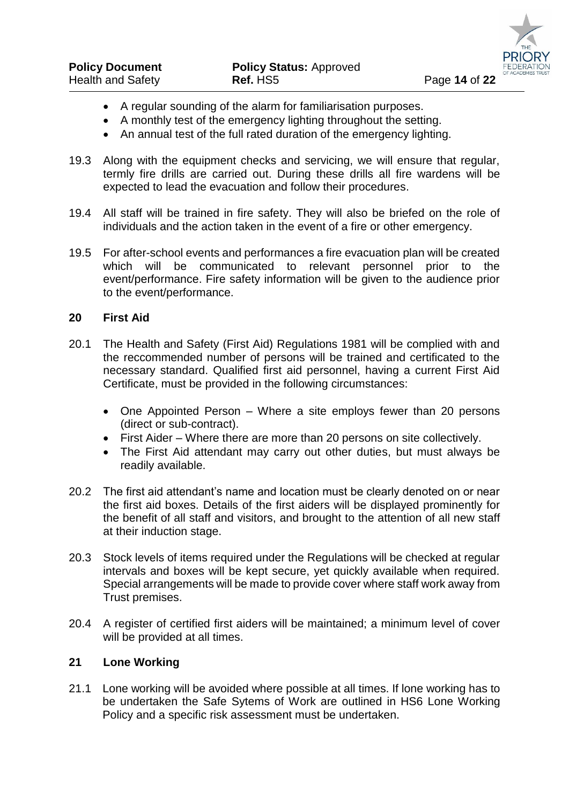- A regular sounding of the alarm for familiarisation purposes.
- A monthly test of the emergency lighting throughout the setting.
- An annual test of the full rated duration of the emergency lighting.
- 19.3 Along with the equipment checks and servicing, we will ensure that regular, termly fire drills are carried out. During these drills all fire wardens will be expected to lead the evacuation and follow their procedures.
- 19.4 All staff will be trained in fire safety. They will also be briefed on the role of individuals and the action taken in the event of a fire or other emergency.
- 19.5 For after-school events and performances a fire evacuation plan will be created which will be communicated to relevant personnel prior to the event/performance. Fire safety information will be given to the audience prior to the event/performance.

## **20 First Aid**

- 20.1 The Health and Safety (First Aid) Regulations 1981 will be complied with and the reccommended number of persons will be trained and certificated to the necessary standard. Qualified first aid personnel, having a current First Aid Certificate, must be provided in the following circumstances:
	- One Appointed Person Where a site employs fewer than 20 persons (direct or sub-contract).
	- First Aider Where there are more than 20 persons on site collectively.
	- The First Aid attendant may carry out other duties, but must always be readily available.
- 20.2 The first aid attendant's name and location must be clearly denoted on or near the first aid boxes. Details of the first aiders will be displayed prominently for the benefit of all staff and visitors, and brought to the attention of all new staff at their induction stage.
- 20.3 Stock levels of items required under the Regulations will be checked at regular intervals and boxes will be kept secure, yet quickly available when required. Special arrangements will be made to provide cover where staff work away from Trust premises.
- 20.4 A register of certified first aiders will be maintained; a minimum level of cover will be provided at all times.

#### **21 Lone Working**

21.1 Lone working will be avoided where possible at all times. If lone working has to be undertaken the Safe Sytems of Work are outlined in HS6 Lone Working Policy and a specific risk assessment must be undertaken.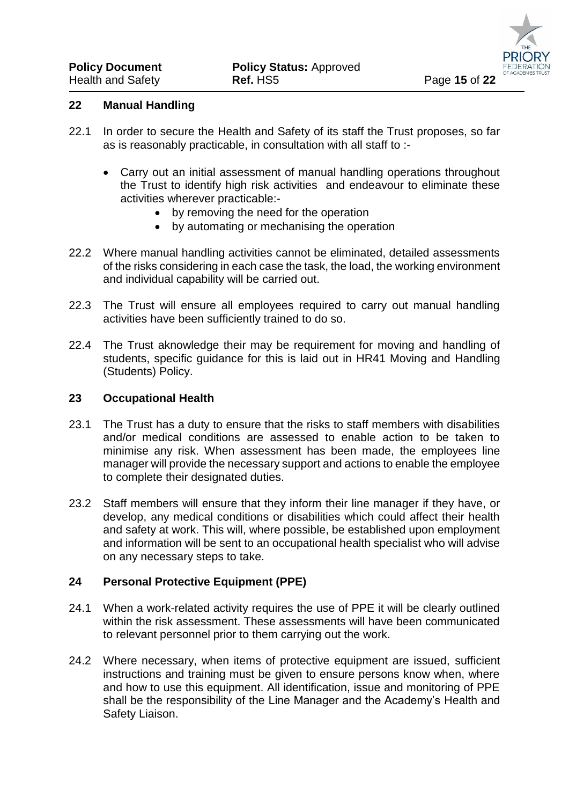#### **22 Manual Handling**

- 22.1 In order to secure the Health and Safety of its staff the Trust proposes, so far as is reasonably practicable, in consultation with all staff to :-
	- Carry out an initial assessment of manual handling operations throughout the Trust to identify high risk activities and endeavour to eliminate these activities wherever practicable:-
		- by removing the need for the operation
		- by automating or mechanising the operation
- 22.2 Where manual handling activities cannot be eliminated, detailed assessments of the risks considering in each case the task, the load, the working environment and individual capability will be carried out.
- 22.3 The Trust will ensure all employees required to carry out manual handling activities have been sufficiently trained to do so.
- 22.4 The Trust aknowledge their may be requirement for moving and handling of students, specific guidance for this is laid out in HR41 Moving and Handling (Students) Policy.

#### **23 Occupational Health**

- 23.1 The Trust has a duty to ensure that the risks to staff members with disabilities and/or medical conditions are assessed to enable action to be taken to minimise any risk. When assessment has been made, the employees line manager will provide the necessary support and actions to enable the employee to complete their designated duties.
- 23.2 Staff members will ensure that they inform their line manager if they have, or develop, any medical conditions or disabilities which could affect their health and safety at work. This will, where possible, be established upon employment and information will be sent to an occupational health specialist who will advise on any necessary steps to take.

#### **24 Personal Protective Equipment (PPE)**

- 24.1 When a work-related activity requires the use of PPE it will be clearly outlined within the risk assessment. These assessments will have been communicated to relevant personnel prior to them carrying out the work.
- 24.2 Where necessary, when items of protective equipment are issued, sufficient instructions and training must be given to ensure persons know when, where and how to use this equipment. All identification, issue and monitoring of PPE shall be the responsibility of the Line Manager and the Academy's Health and Safety Liaison.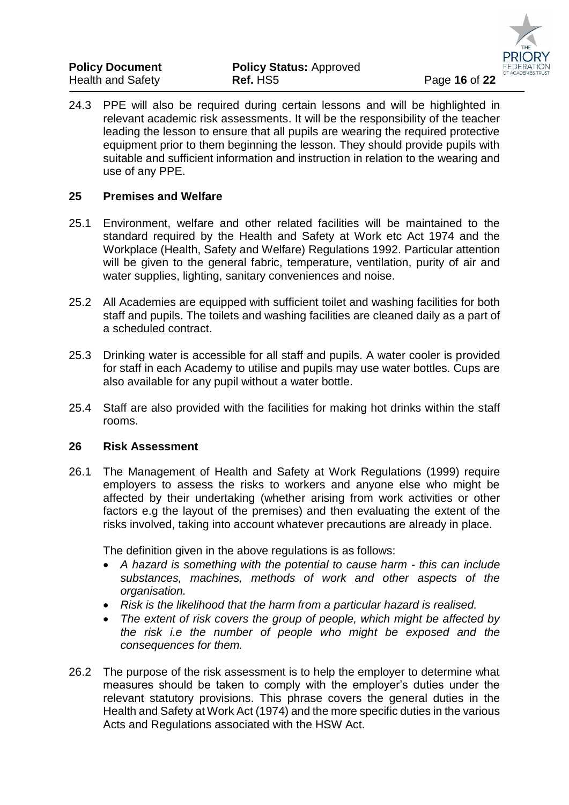| <b>Policy Document</b> | <b>Policy Status: Approved</b> |               |
|------------------------|--------------------------------|---------------|
| Health and Safety      | Ref. HS5                       | Page 16 of 22 |

24.3 PPE will also be required during certain lessons and will be highlighted in relevant academic risk assessments. It will be the responsibility of the teacher leading the lesson to ensure that all pupils are wearing the required protective equipment prior to them beginning the lesson. They should provide pupils with suitable and sufficient information and instruction in relation to the wearing and use of any PPE.

#### **25 Premises and Welfare**

- 25.1 Environment, welfare and other related facilities will be maintained to the standard required by the Health and Safety at Work etc Act 1974 and the Workplace (Health, Safety and Welfare) Regulations 1992. Particular attention will be given to the general fabric, temperature, ventilation, purity of air and water supplies, lighting, sanitary conveniences and noise.
- 25.2 All Academies are equipped with sufficient toilet and washing facilities for both staff and pupils. The toilets and washing facilities are cleaned daily as a part of a scheduled contract.
- 25.3 Drinking water is accessible for all staff and pupils. A water cooler is provided for staff in each Academy to utilise and pupils may use water bottles. Cups are also available for any pupil without a water bottle.
- 25.4 Staff are also provided with the facilities for making hot drinks within the staff rooms.

#### **26 Risk Assessment**

26.1 The Management of Health and Safety at Work Regulations (1999) require employers to assess the risks to workers and anyone else who might be affected by their undertaking (whether arising from work activities or other factors e.g the layout of the premises) and then evaluating the extent of the risks involved, taking into account whatever precautions are already in place.

The definition given in the above regulations is as follows:

- *A hazard is something with the potential to cause harm - this can include substances, machines, methods of work and other aspects of the organisation.*
- *Risk is the likelihood that the harm from a particular hazard is realised.*
- *The extent of risk covers the group of people, which might be affected by the risk i.e the number of people who might be exposed and the consequences for them.*
- 26.2 The purpose of the risk assessment is to help the employer to determine what measures should be taken to comply with the employer's duties under the relevant statutory provisions. This phrase covers the general duties in the Health and Safety at Work Act (1974) and the more specific duties in the various Acts and Regulations associated with the HSW Act.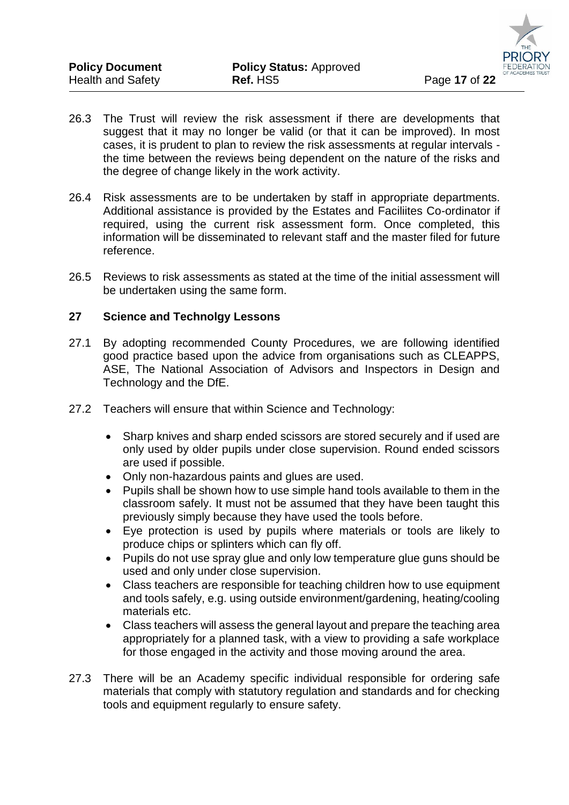

- 26.3 The Trust will review the risk assessment if there are developments that suggest that it may no longer be valid (or that it can be improved). In most cases, it is prudent to plan to review the risk assessments at regular intervals the time between the reviews being dependent on the nature of the risks and the degree of change likely in the work activity.
- 26.4 Risk assessments are to be undertaken by staff in appropriate departments. Additional assistance is provided by the Estates and Faciliites Co-ordinator if required, using the current risk assessment form. Once completed, this information will be disseminated to relevant staff and the master filed for future reference.
- 26.5 Reviews to risk assessments as stated at the time of the initial assessment will be undertaken using the same form.

## **27 Science and Technolgy Lessons**

- 27.1 By adopting recommended County Procedures, we are following identified good practice based upon the advice from organisations such as CLEAPPS, ASE, The National Association of Advisors and Inspectors in Design and Technology and the DfE.
- 27.2 Teachers will ensure that within Science and Technology:
	- Sharp knives and sharp ended scissors are stored securely and if used are only used by older pupils under close supervision. Round ended scissors are used if possible.
	- Only non-hazardous paints and glues are used.
	- Pupils shall be shown how to use simple hand tools available to them in the classroom safely. It must not be assumed that they have been taught this previously simply because they have used the tools before.
	- Eye protection is used by pupils where materials or tools are likely to produce chips or splinters which can fly off.
	- Pupils do not use spray glue and only low temperature glue guns should be used and only under close supervision.
	- Class teachers are responsible for teaching children how to use equipment and tools safely, e.g. using outside environment/gardening, heating/cooling materials etc.
	- Class teachers will assess the general layout and prepare the teaching area appropriately for a planned task, with a view to providing a safe workplace for those engaged in the activity and those moving around the area.
- 27.3 There will be an Academy specific individual responsible for ordering safe materials that comply with statutory regulation and standards and for checking tools and equipment regularly to ensure safety.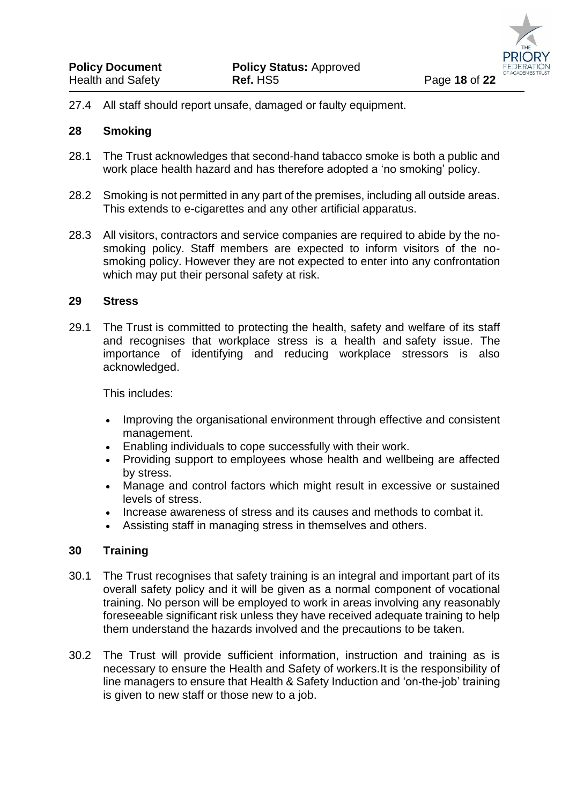

27.4 All staff should report unsafe, damaged or faulty equipment.

#### **28 Smoking**

- 28.1 The Trust acknowledges that second-hand tabacco smoke is both a public and work place health hazard and has therefore adopted a 'no smoking' policy.
- 28.2 Smoking is not permitted in any part of the premises, including all outside areas. This extends to e-cigarettes and any other artificial apparatus.
- 28.3 All visitors, contractors and service companies are required to abide by the nosmoking policy. Staff members are expected to inform visitors of the nosmoking policy. However they are not expected to enter into any confrontation which may put their personal safety at risk.

#### **29 Stress**

29.1 The Trust is committed to protecting the health, safety and welfare of its staff and recognises that workplace stress is a health and safety issue. The importance of identifying and reducing workplace stressors is also acknowledged.

This includes:

- Improving the organisational environment through effective and consistent management.
- Enabling individuals to cope successfully with their work.
- Providing support to employees whose health and wellbeing are affected by stress.
- Manage and control factors which might result in excessive or sustained levels of stress.
- Increase awareness of stress and its causes and methods to combat it.
- Assisting staff in managing stress in themselves and others.

#### **30 Training**

- 30.1 The Trust recognises that safety training is an integral and important part of its overall safety policy and it will be given as a normal component of vocational training. No person will be employed to work in areas involving any reasonably foreseeable significant risk unless they have received adequate training to help them understand the hazards involved and the precautions to be taken.
- 30.2 The Trust will provide sufficient information, instruction and training as is necessary to ensure the Health and Safety of workers.It is the responsibility of line managers to ensure that Health & Safety Induction and 'on-the-job' training is given to new staff or those new to a job.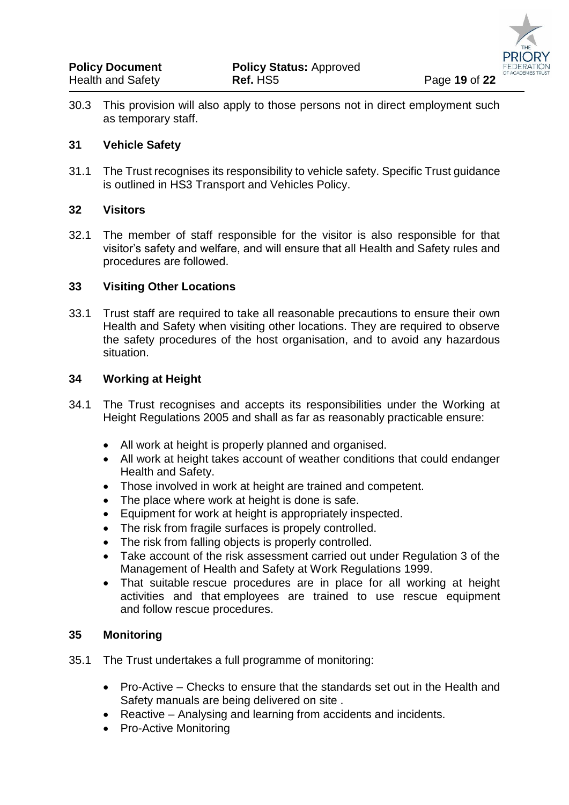30.3 This provision will also apply to those persons not in direct employment such as temporary staff.

## **31 Vehicle Safety**

31.1 The Trust recognises its responsibility to vehicle safety. Specific Trust guidance is outlined in HS3 Transport and Vehicles Policy.

## **32 Visitors**

32.1 The member of staff responsible for the visitor is also responsible for that visitor's safety and welfare, and will ensure that all Health and Safety rules and procedures are followed.

## **33 Visiting Other Locations**

33.1 Trust staff are required to take all reasonable precautions to ensure their own Health and Safety when visiting other locations. They are required to observe the safety procedures of the host organisation, and to avoid any hazardous situation.

## **34 Working at Height**

- 34.1 The Trust recognises and accepts its responsibilities under the Working at Height Regulations 2005 and shall as far as reasonably practicable ensure:
	- All work at height is properly planned and organised.
	- All work at height takes account of weather conditions that could endanger Health and Safety.
	- Those involved in work at height are trained and competent.
	- The place where work at height is done is safe.
	- Equipment for work at height is appropriately inspected.
	- The risk from fragile surfaces is propely controlled.
	- The risk from falling objects is properly controlled.
	- Take account of the risk assessment carried out under Regulation 3 of the Management of Health and Safety at Work Regulations 1999.
	- That suitable rescue procedures are in place for all working at height activities and that employees are trained to use rescue equipment and follow rescue procedures.

#### **35 Monitoring**

- 35.1 The Trust undertakes a full programme of monitoring:
	- Pro-Active Checks to ensure that the standards set out in the Health and Safety manuals are being delivered on site .
	- Reactive Analysing and learning from accidents and incidents.
	- Pro-Active Monitoring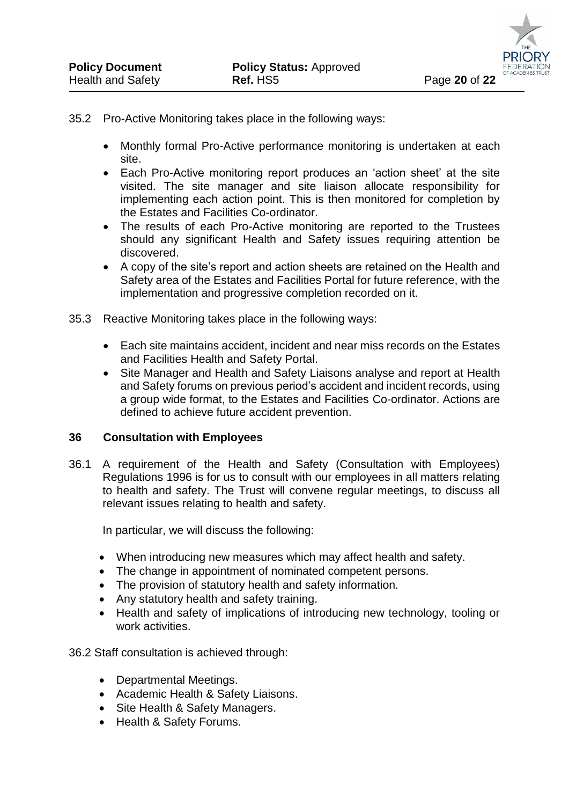#### 35.2 Pro-Active Monitoring takes place in the following ways:

- Monthly formal Pro-Active performance monitoring is undertaken at each site.
- Each Pro-Active monitoring report produces an 'action sheet' at the site visited. The site manager and site liaison allocate responsibility for implementing each action point. This is then monitored for completion by the Estates and Facilities Co-ordinator.
- The results of each Pro-Active monitoring are reported to the Trustees should any significant Health and Safety issues requiring attention be discovered.
- A copy of the site's report and action sheets are retained on the Health and Safety area of the Estates and Facilities Portal for future reference, with the implementation and progressive completion recorded on it.
- 35.3 Reactive Monitoring takes place in the following ways:
	- Each site maintains accident, incident and near miss records on the Estates and Facilities Health and Safety Portal.
	- Site Manager and Health and Safety Liaisons analyse and report at Health and Safety forums on previous period's accident and incident records, using a group wide format, to the Estates and Facilities Co-ordinator. Actions are defined to achieve future accident prevention.

#### **36 Consultation with Employees**

36.1 A requirement of the Health and Safety (Consultation with Employees) Regulations 1996 is for us to consult with our employees in all matters relating to health and safety. The Trust will convene regular meetings, to discuss all relevant issues relating to health and safety.

In particular, we will discuss the following:

- When introducing new measures which may affect health and safety.
- The change in appointment of nominated competent persons.
- The provision of statutory health and safety information.
- Any statutory health and safety training.
- Health and safety of implications of introducing new technology, tooling or work activities.

36.2 Staff consultation is achieved through:

- Departmental Meetings.
- Academic Health & Safety Liaisons.
- Site Health & Safety Managers.
- Health & Safety Forums.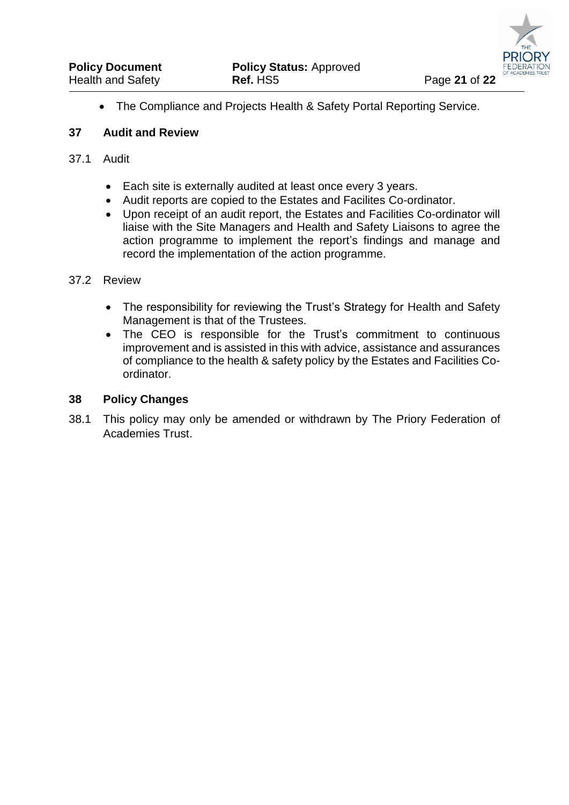The Compliance and Projects Health & Safety Portal Reporting Service.

### **37 Audit and Review**

### 37.1 Audit

- Each site is externally audited at least once every 3 years.
- Audit reports are copied to the Estates and Facilites Co-ordinator.
- Upon receipt of an audit report, the Estates and Facilities Co-ordinator will liaise with the Site Managers and Health and Safety Liaisons to agree the action programme to implement the report's findings and manage and record the implementation of the action programme.

## 37.2 Review

- The responsibility for reviewing the Trust's Strategy for Health and Safety Management is that of the Trustees.
- The CEO is responsible for the Trust's commitment to continuous improvement and is assisted in this with advice, assistance and assurances of compliance to the health & safety policy by the Estates and Facilities Coordinator.

#### **38 Policy Changes**

38.1 This policy may only be amended or withdrawn by The Priory Federation of Academies Trust.